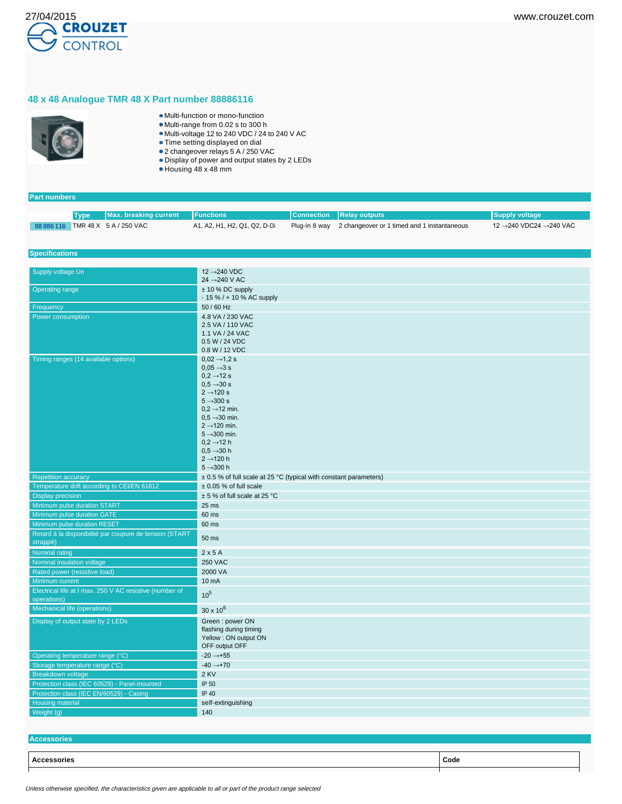

## **48 x 48 Analogue TMR 48 X Part number 88886116**



**Part numbers**

- Multi-function or mono-function
- Multi-range from 0.02 s to 300 h Multi-voltage 12 to 240 VDC / 24 to 240 V AC
- 
- Time setting displayed on dial 2 changeover relays 5 A / 250 VAC
- Display of power and output states by 2 LEDs
- Housing 48 x 48 mm

|                            | <b>Type</b>                                                 | <b>Max. breaking current</b>                            | <b>Functions</b>                                                      | <b>Connection</b> | <b>Relay outputs</b>                        | <b>Supply voltage</b>  |
|----------------------------|-------------------------------------------------------------|---------------------------------------------------------|-----------------------------------------------------------------------|-------------------|---------------------------------------------|------------------------|
|                            |                                                             | 88 886 116 TMR 48 X 5 A / 250 VAC                       | A1, A2, H1, H2, Q1, Q2, D-Di                                          | Plug-in 8 way     | 2 changeover or 1 timed and 1 instantaneous | 12 →240 VDC24 →240 VAC |
|                            |                                                             |                                                         |                                                                       |                   |                                             |                        |
| <b>Specifications</b>      |                                                             |                                                         |                                                                       |                   |                                             |                        |
|                            |                                                             |                                                         |                                                                       |                   |                                             |                        |
| Supply voltage Un          |                                                             |                                                         | $12 \rightarrow 240$ VDC                                              |                   |                                             |                        |
|                            |                                                             |                                                         | 24 → 240 V AC                                                         |                   |                                             |                        |
| <b>Operating range</b>     |                                                             |                                                         | ± 10 % DC supply                                                      |                   |                                             |                        |
|                            |                                                             |                                                         | - 15 % / + 10 % AC supply                                             |                   |                                             |                        |
| Frequency                  |                                                             |                                                         | 50 / 60 Hz                                                            |                   |                                             |                        |
| Power consumption          |                                                             |                                                         | 4.8 VA / 230 VAC                                                      |                   |                                             |                        |
|                            |                                                             |                                                         | 2.5 VA / 110 VAC<br>1.1 VA / 24 VAC                                   |                   |                                             |                        |
|                            |                                                             |                                                         | 0.5 W / 24 VDC                                                        |                   |                                             |                        |
|                            |                                                             |                                                         | 0.8 W / 12 VDC                                                        |                   |                                             |                        |
|                            | Timing ranges (14 available options)                        |                                                         | $0.02 \rightarrow 1.2$ s                                              |                   |                                             |                        |
|                            |                                                             |                                                         | $0,05 \rightarrow 3$ s                                                |                   |                                             |                        |
|                            |                                                             |                                                         | $0.2 \rightarrow 12$ s                                                |                   |                                             |                        |
|                            |                                                             |                                                         | $0,5 \rightarrow 30 s$                                                |                   |                                             |                        |
|                            |                                                             |                                                         | $2 \rightarrow 120 s$                                                 |                   |                                             |                        |
|                            |                                                             |                                                         | $5 \rightarrow 300 s$<br>$0,2 \rightarrow 12$ min.                    |                   |                                             |                        |
|                            |                                                             |                                                         | $0,5 \rightarrow 30$ min.                                             |                   |                                             |                        |
|                            |                                                             |                                                         | $2 \rightarrow 120$ min.                                              |                   |                                             |                        |
|                            |                                                             |                                                         | $5 \rightarrow 300$ min.                                              |                   |                                             |                        |
|                            |                                                             |                                                         | $0.2 \rightarrow 12$ h                                                |                   |                                             |                        |
|                            |                                                             |                                                         | $0.5 \rightarrow 30 h$                                                |                   |                                             |                        |
|                            |                                                             |                                                         | $2 \rightarrow 120$ h                                                 |                   |                                             |                        |
|                            |                                                             |                                                         | $5 - 300h$                                                            |                   |                                             |                        |
| <b>Repetition accuracy</b> |                                                             |                                                         | $\pm$ 0.5 % of full scale at 25 °C (typical with constant parameters) |                   |                                             |                        |
|                            |                                                             | Temperature drift according to CEI/EN 61812             | $± 0.05 %$ of full scale                                              |                   |                                             |                        |
| <b>Display precision</b>   |                                                             |                                                         | ± 5 % of full scale at 25 °C<br>$25$ ms                               |                   |                                             |                        |
|                            | Minimum pulse duration START<br>Minimum pulse duration GATE |                                                         | 60 ms                                                                 |                   |                                             |                        |
|                            | Minimum pulse duration RESET                                |                                                         | 60 ms                                                                 |                   |                                             |                        |
|                            |                                                             | Retard à la disponibilité par coupure de tension (START |                                                                       |                   |                                             |                        |
| strappé)                   |                                                             |                                                         | 50 ms                                                                 |                   |                                             |                        |
| Nominal rating             |                                                             |                                                         | 2x5A                                                                  |                   |                                             |                        |
|                            | Nominal insulation voltage                                  |                                                         | <b>250 VAC</b>                                                        |                   |                                             |                        |
|                            | Rated power (resistive load)                                |                                                         | 2000 VA                                                               |                   |                                             |                        |
| Minimum current            |                                                             |                                                         | 10 mA                                                                 |                   |                                             |                        |
|                            |                                                             | Electrical life at I max. 250 V AC resistive (number of | 10 <sup>5</sup>                                                       |                   |                                             |                        |
| operations)                |                                                             |                                                         |                                                                       |                   |                                             |                        |
|                            | Mechanical life (operations)                                |                                                         | $30 \times 10^6$                                                      |                   |                                             |                        |
|                            | Display of output state by 2 LEDs                           |                                                         | Green: power ON                                                       |                   |                                             |                        |
|                            |                                                             |                                                         | flashing during timing                                                |                   |                                             |                        |
|                            |                                                             |                                                         | Yellow : ON output ON<br>OFF output OFF                               |                   |                                             |                        |
|                            | Operating temperature range (°C)                            |                                                         | $-20 \rightarrow +55$                                                 |                   |                                             |                        |
|                            | Storage temperature range (°C)                              |                                                         | $-40 \rightarrow +70$                                                 |                   |                                             |                        |
| <b>Breakdown voltage</b>   |                                                             |                                                         | 2 KV                                                                  |                   |                                             |                        |
|                            |                                                             |                                                         | IP 50                                                                 |                   |                                             |                        |
|                            |                                                             | Protection class (IEC 60529) - Panel-mounted            | <b>IP 40</b>                                                          |                   |                                             |                        |
|                            |                                                             | Protection class (IEC EN/60529) - Casing                |                                                                       |                   |                                             |                        |
| <b>Housing material</b>    |                                                             |                                                         | self-extinguishing<br>140                                             |                   |                                             |                        |
| Weight (g)                 |                                                             |                                                         |                                                                       |                   |                                             |                        |

**Accessories Accessories Code**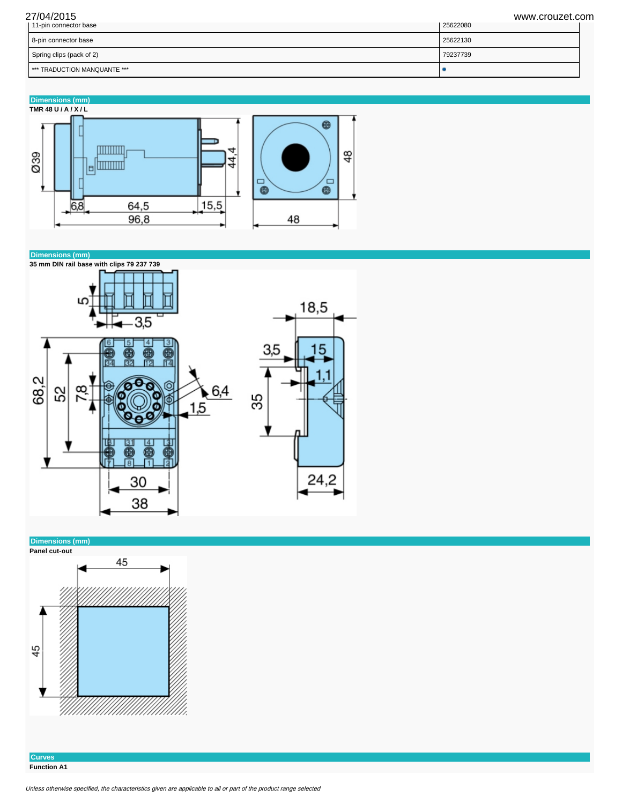| 27/04/2015                              | www.crouzet.com |
|-----------------------------------------|-----------------|
| 11-pin connector base                   | 25622080        |
| 8-pin connector base                    | 25622130        |
| Spring clips (pack of 2)                | 79237739        |
| <sup>***</sup> TRADUCTION MANQUANTE *** |                 |









**Curves Function A1**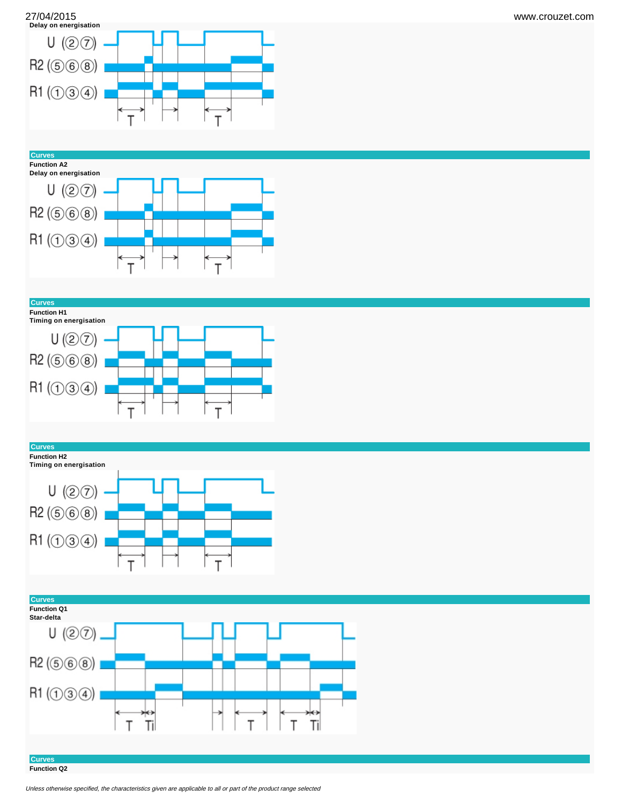



**Curves**





**Curves**



## **Curves**

**Function H2**







**Curves Function Q2**